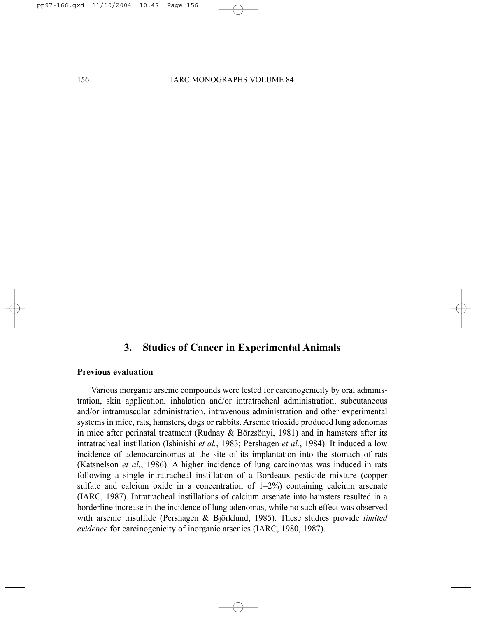# **3. Studies of Cancer in Experimental Animals**

#### **Previous evaluation**

Various inorganic arsenic compounds were tested for carcinogenicity by oral administration, skin application, inhalation and/or intratracheal administration, subcutaneous and/or intramuscular administration, intravenous administration and other experimental systems in mice, rats, hamsters, dogs or rabbits. Arsenic trioxide produced lung adenomas in mice after perinatal treatment (Rudnay & Börzsönyi, 1981) and in hamsters after its intratracheal instillation (Ishinishi *et al.*, 1983; Pershagen *et al.*, 1984). It induced a low incidence of adenocarcinomas at the site of its implantation into the stomach of rats (Katsnelson *et al.*, 1986). A higher incidence of lung carcinomas was induced in rats following a single intratracheal instillation of a Bordeaux pesticide mixture (copper sulfate and calcium oxide in a concentration of  $1-2\%$ ) containing calcium arsenate (IARC, 1987). Intratracheal instillations of calcium arsenate into hamsters resulted in a borderline increase in the incidence of lung adenomas, while no such effect was observed with arsenic trisulfide (Pershagen & Björklund, 1985). These studies provide *limited evidence* for carcinogenicity of inorganic arsenics (IARC, 1980, 1987).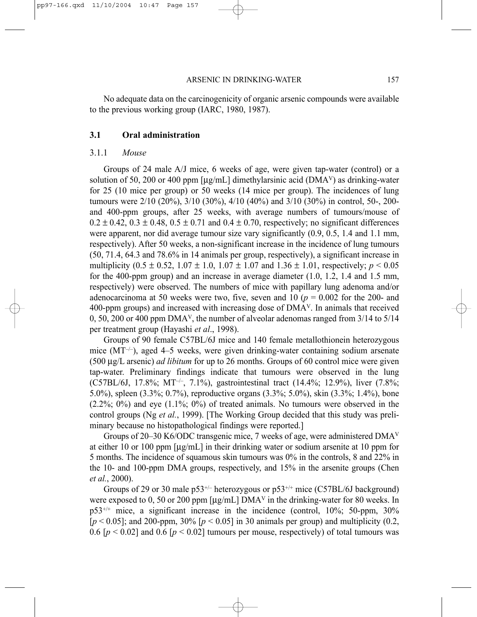No adequate data on the carcinogenicity of organic arsenic compounds were available to the previous working group (IARC, 1980, 1987).

### **3.1 Oral administration**

#### 3.1.1 *Mouse*

Groups of 24 male A/J mice, 6 weeks of age, were given tap-water (control) or a solution of 50, 200 or 400 ppm  $\lceil \mu g / m \rceil \rceil$  dimethylarsinic acid (DMA<sup>V</sup>) as drinking-water for 25 (10 mice per group) or 50 weeks (14 mice per group). The incidences of lung tumours were 2/10 (20%), 3/10 (30%), 4/10 (40%) and 3/10 (30%) in control, 50-, 200 and 400-ppm groups, after 25 weeks, with average numbers of tumours/mouse of  $0.2 \pm 0.42$ ,  $0.3 \pm 0.48$ ,  $0.5 \pm 0.71$  and  $0.4 \pm 0.70$ , respectively; no significant differences were apparent, nor did average tumour size vary significantly (0.9, 0.5, 1.4 and 1.1 mm, respectively). After 50 weeks, a non-significant increase in the incidence of lung tumours (50, 71.4, 64.3 and 78.6% in 14 animals per group, respectively), a significant increase in multiplicity  $(0.5 \pm 0.52, 1.07 \pm 1.0, 1.07 \pm 1.07,$  and  $1.36 \pm 1.01$ , respectively;  $p < 0.05$ for the 400-ppm group) and an increase in average diameter (1.0, 1.2, 1.4 and 1.5 mm, respectively) were observed. The numbers of mice with papillary lung adenoma and/or adenocarcinoma at 50 weeks were two, five, seven and  $10$  ( $p = 0.002$  for the 200- and 400-ppm groups) and increased with increasing dose of DMAV. In animals that received 0, 50, 200 or 400 ppm DMAV, the number of alveolar adenomas ranged from 3/14 to 5/14 per treatment group (Hayashi *et al*., 1998).

Groups of 90 female C57BL/6J mice and 140 female metallothionein heterozygous mice  $(MT^{-/-})$ , aged 4–5 weeks, were given drinking-water containing sodium arsenate (500 µg/L arsenic) *ad libitum* for up to 26 months. Groups of 60 control mice were given tap-water. Preliminary findings indicate that tumours were observed in the lung (C57BL/6J, 17.8%; MT–/–, 7.1%), gastrointestinal tract (14.4%; 12.9%), liver (7.8%; 5.0%), spleen (3.3%; 0.7%), reproductive organs (3.3%; 5.0%), skin (3.3%; 1.4%), bone  $(2.2\%; 0\%)$  and eye  $(1.1\%; 0\%)$  of treated animals. No tumours were observed in the control groups (Ng *et al.*, 1999). [The Working Group decided that this study was preliminary because no histopathological findings were reported.]

Groups of 20–30 K6/ODC transgenic mice, 7 weeks of age, were administered DMAV at either 10 or 100 ppm [µg/mL] in their drinking water or sodium arsenite at 10 ppm for 5 months. The incidence of squamous skin tumours was 0% in the controls, 8 and 22% in the 10- and 100-ppm DMA groups, respectively, and 15% in the arsenite groups (Chen *et al.*, 2000).

Groups of 29 or 30 male  $p53^{+/}$  heterozygous or  $p53^{+/+}$  mice (C57BL/6J background) were exposed to 0, 50 or 200 ppm  $\left[\mu\alpha/L\right]$  DMA<sup>V</sup> in the drinking-water for 80 weeks. In  $p53^{+/+}$  mice, a significant increase in the incidence (control, 10%; 50-ppm, 30%)  $[p \le 0.05]$ ; and 200-ppm, 30%  $[p \le 0.05]$  in 30 animals per group) and multiplicity (0.2, 0.6  $[p < 0.02]$  and 0.6  $[p < 0.02]$  tumours per mouse, respectively) of total tumours was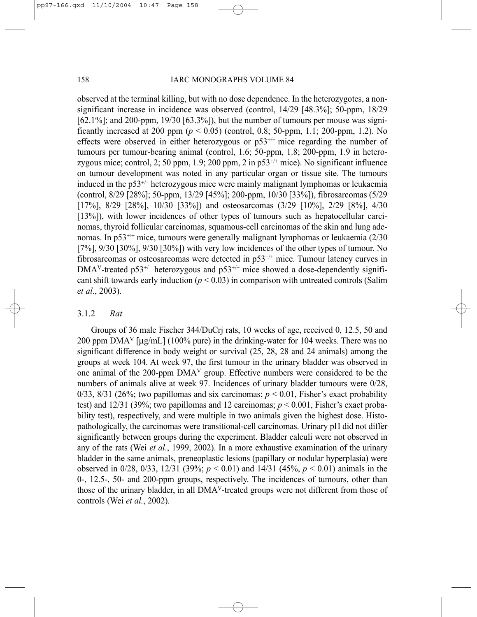observed at the terminal killing, but with no dose dependence. In the heterozygotes, a nonsignificant increase in incidence was observed (control, 14/29 [48.3%]; 50-ppm, 18/29  $[62.1\%]$ ; and 200-ppm,  $19/30$   $[63.3\%]$ ), but the number of tumours per mouse was significantly increased at 200 ppm ( $p < 0.05$ ) (control, 0.8; 50-ppm, 1.1; 200-ppm, 1.2). No effects were observed in either heterozygous or  $p53^{+/+}$  mice regarding the number of tumours per tumour-bearing animal (control, 1.6; 50-ppm, 1.8; 200-ppm, 1.9 in heterozygous mice; control, 2; 50 ppm, 1.9; 200 ppm, 2 in  $p53^{+/+}$  mice). No significant influence on tumour development was noted in any particular organ or tissue site. The tumours induced in the  $p53^{+/}$  heterozygous mice were mainly malignant lymphomas or leukaemia (control, 8/29 [28%]; 50-ppm, 13/29 [45%]; 200-ppm, 10/30 [33%]), fibrosarcomas (5/29 [17%], 8/29 [28%], 10/30 [33%]) and osteosarcomas (3/29 [10%], 2/29 [8%], 4/30 [13%]), with lower incidences of other types of tumours such as hepatocellular carcinomas, thyroid follicular carcinomas, squamous-cell carcinomas of the skin and lung adenomas. In p53+/+ mice, tumours were generally malignant lymphomas or leukaemia (2/30 [7%], 9/30 [30%], 9/30 [30%]) with very low incidences of the other types of tumour. No fibrosarcomas or osteosarcomas were detected in p53+/+ mice. Tumour latency curves in  $DMA<sup>V</sup>$ -treated p53<sup>+/-</sup> heterozygous and p53<sup>+/+</sup> mice showed a dose-dependently significant shift towards early induction  $(p < 0.03)$  in comparison with untreated controls (Salim *et al*., 2003).

# 3.1.2 *Rat*

Groups of 36 male Fischer 344/DuCrj rats, 10 weeks of age, received 0, 12.5, 50 and 200 ppm DMA<sup>V</sup> [µg/mL] (100% pure) in the drinking-water for 104 weeks. There was no significant difference in body weight or survival (25, 28, 28 and 24 animals) among the groups at week 104. At week 97, the first tumour in the urinary bladder was observed in one animal of the 200-ppm DMAV group. Effective numbers were considered to be the numbers of animals alive at week 97. Incidences of urinary bladder tumours were 0/28, 0/33, 8/31 (26%; two papillomas and six carcinomas;  $p < 0.01$ , Fisher's exact probability test) and  $12/31$  (39%; two papillomas and 12 carcinomas;  $p < 0.001$ , Fisher's exact probability test), respectively, and were multiple in two animals given the highest dose. Histopathologically, the carcinomas were transitional-cell carcinomas. Urinary pH did not differ significantly between groups during the experiment. Bladder calculi were not observed in any of the rats (Wei *et al*., 1999, 2002). In a more exhaustive examination of the urinary bladder in the same animals, preneoplastic lesions (papillary or nodular hyperplasia) were observed in 0/28, 0/33, 12/31 (39%; *p* < 0.01) and 14/31 (45%, *p* < 0.01) animals in the 0-, 12.5-, 50- and 200-ppm groups, respectively. The incidences of tumours, other than those of the urinary bladder, in all DMAV-treated groups were not different from those of controls (Wei *et al.*, 2002).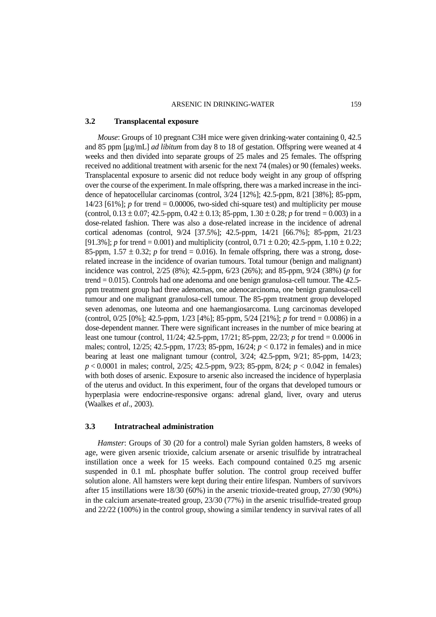#### ARSENIC IN DRINKING-WATER 159

#### **3.2 Transplacental exposure**

*Mouse*: Groups of 10 pregnant C3H mice were given drinking-water containing 0, 42.5 and 85 ppm [μg/mL] *ad libitum* from day 8 to 18 of gestation. Offspring were weaned at 4 weeks and then divided into separate groups of 25 males and 25 females. The offspring received no additional treatment with arsenic for the next 74 (males) or 90 (females) weeks. Transplacental exposure to arsenic did not reduce body weight in any group of offspring over the course of the experiment. In male offspring, there was a marked increase in the incidence of hepatocellular carcinomas (control, 3/24 [12%]; 42.5-ppm, 8/21 [38%]; 85-ppm, 14/23 [61%]; *p* for trend = 0.00006, two-sided chi-square test) and multiplicity per mouse (control,  $0.13 \pm 0.07$ ;  $42.5$ -ppm,  $0.42 \pm 0.13$ ;  $85$ -ppm,  $1.30 \pm 0.28$ ; *p* for trend = 0.003) in a dose-related fashion. There was also a dose-related increase in the incidence of adrenal cortical adenomas (control, 9/24 [37.5%]; 42.5-ppm, 14/21 [66.7%]; 85-ppm, 21/23 [91.3%]; *p* for trend = 0.001) and multiplicity (control,  $0.71 \pm 0.20$ ; 42.5-ppm,  $1.10 \pm 0.22$ ; 85-ppm,  $1.57 \pm 0.32$ ; *p* for trend = 0.016). In female offspring, there was a strong, doserelated increase in the incidence of ovarian tumours. Total tumour (benign and malignant) incidence was control, 2/25 (8%); 42.5-ppm, 6/23 (26%); and 85-ppm, 9/24 (38%) (*p* for trend = 0.015). Controls had one adenoma and one benign granulosa-cell tumour. The 42.5 ppm treatment group had three adenomas, one adenocarcinoma, one benign granulosa-cell tumour and one malignant granulosa-cell tumour. The 85-ppm treatment group developed seven adenomas, one luteoma and one haemangiosarcoma. Lung carcinomas developed (control, 0/25 [0%]; 42.5-ppm, 1/23 [4%]; 85-ppm, 5/24 [21%]; *p* for trend = 0.0086) in a dose-dependent manner. There were significant increases in the number of mice bearing at least one tumour (control, 11/24; 42.5-ppm, 17/21; 85-ppm, 22/23; *p* for trend = 0.0006 in males; control, 12/25; 42.5-ppm, 17/23; 85-ppm, 16/24; *p* < 0.172 in females) and in mice bearing at least one malignant tumour (control, 3/24; 42.5-ppm, 9/21; 85-ppm, 14/23; *p* < 0.0001 in males; control, 2/25; 42.5-ppm, 9/23; 85-ppm, 8/24; *p* < 0.042 in females) with both doses of arsenic. Exposure to arsenic also increased the incidence of hyperplasia of the uterus and oviduct. In this experiment, four of the organs that developed tumours or hyperplasia were endocrine-responsive organs: adrenal gland, liver, ovary and uterus (Waalkes *et al*., 2003).

### **3.3 Intratracheal administration**

*Hamster*: Groups of 30 (20 for a control) male Syrian golden hamsters, 8 weeks of age, were given arsenic trioxide, calcium arsenate or arsenic trisulfide by intratracheal instillation once a week for 15 weeks. Each compound contained 0.25 mg arsenic suspended in 0.1 mL phosphate buffer solution. The control group received buffer solution alone. All hamsters were kept during their entire lifespan. Numbers of survivors after 15 instillations were 18/30 (60%) in the arsenic trioxide-treated group, 27/30 (90%) in the calcium arsenate-treated group, 23/30 (77%) in the arsenic trisulfide-treated group and 22/22 (100%) in the control group, showing a similar tendency in survival rates of all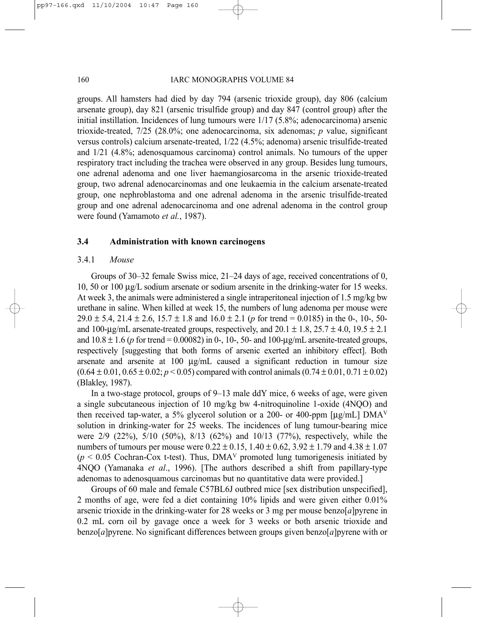groups. All hamsters had died by day 794 (arsenic trioxide group), day 806 (calcium arsenate group), day 821 (arsenic trisulfide group) and day 847 (control group) after the initial instillation. Incidences of lung tumours were 1/17 (5.8%; adenocarcinoma) arsenic trioxide-treated, 7/25 (28.0%; one adenocarcinoma, six adenomas; *p* value, significant versus controls) calcium arsenate-treated, 1/22 (4.5%; adenoma) arsenic trisulfide-treated and 1/21 (4.8%; adenosquamous carcinoma) control animals. No tumours of the upper respiratory tract including the trachea were observed in any group. Besides lung tumours, one adrenal adenoma and one liver haemangiosarcoma in the arsenic trioxide-treated group, two adrenal adenocarcinomas and one leukaemia in the calcium arsenate-treated group, one nephroblastoma and one adrenal adenoma in the arsenic trisulfide-treated group and one adrenal adenocarcinoma and one adrenal adenoma in the control group were found (Yamamoto *et al.*, 1987).

## **3.4 Administration with known carcinogens**

#### 3.4.1 *Mouse*

Groups of 30–32 female Swiss mice, 21–24 days of age, received concentrations of 0, 10, 50 or 100 µg/L sodium arsenate or sodium arsenite in the drinking-water for 15 weeks. At week 3, the animals were administered a single intraperitoneal injection of 1.5 mg/kg bw urethane in saline. When killed at week 15, the numbers of lung adenoma per mouse were  $29.0 \pm 5.4$ ,  $21.4 \pm 2.6$ ,  $15.7 \pm 1.8$  and  $16.0 \pm 2.1$  (*p* for trend = 0.0185) in the 0-, 10-, 50and 100-µg/mL arsenate-treated groups, respectively, and  $20.1 \pm 1.8$ ,  $25.7 \pm 4.0$ ,  $19.5 \pm 2.1$ and  $10.8 \pm 1.6$  (*p* for trend = 0.00082) in 0-, 10-, 50- and 100-ug/mL arsenite-treated groups, respectively [suggesting that both forms of arsenic exerted an inhibitory effect]. Both arsenate and arsenite at 100 µg/mL caused a significant reduction in tumour size  $(0.64 \pm 0.01, 0.65 \pm 0.02; p < 0.05)$  compared with control animals  $(0.74 \pm 0.01, 0.71 \pm 0.02)$ (Blakley, 1987).

In a two-stage protocol, groups of 9–13 male ddY mice, 6 weeks of age, were given a single subcutaneous injection of 10 mg/kg bw 4-nitroquinoline 1-oxide (4NQO) and then received tap-water, a 5% glycerol solution or a 200- or 400-ppm [ $\mu$ g/mL] DMA<sup>V</sup> solution in drinking-water for 25 weeks. The incidences of lung tumour-bearing mice were 2/9 (22%), 5/10 (50%), 8/13 (62%) and 10/13 (77%), respectively, while the numbers of tumours per mouse were  $0.22 \pm 0.15$ ,  $1.40 \pm 0.62$ ,  $3.92 \pm 1.79$  and  $4.38 \pm 1.07$  $(p < 0.05$  Cochran-Cox t-test). Thus, DMA<sup>V</sup> promoted lung tumorigenesis initiated by 4NQO (Yamanaka *et al*., 1996). [The authors described a shift from papillary-type adenomas to adenosquamous carcinomas but no quantitative data were provided.]

Groups of 60 male and female C57BL6J outbred mice [sex distribution unspecified], 2 months of age, were fed a diet containing 10% lipids and were given either 0.01% arsenic trioxide in the drinking-water for 28 weeks or 3 mg per mouse benzo[*a*]pyrene in 0.2 mL corn oil by gavage once a week for 3 weeks or both arsenic trioxide and benzo[*a*]pyrene. No significant differences between groups given benzo[*a*]pyrene with or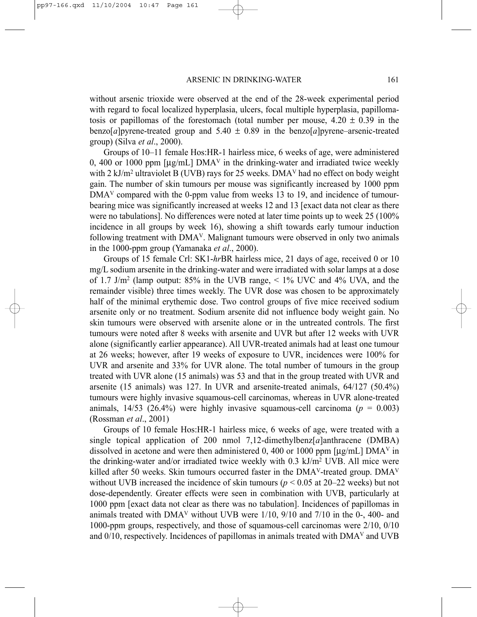without arsenic trioxide were observed at the end of the 28-week experimental period with regard to focal localized hyperplasia, ulcers, focal multiple hyperplasia, papillomatosis or papillomas of the forestomach (total number per mouse,  $4.20 \pm 0.39$  in the benzo[*a*] pyrene-treated group and  $5.40 \pm 0.89$  in the benzo[*a*] pyrene–arsenic-treated group) (Silva *et al*., 2000).

Groups of 10–11 female Hos:HR-1 hairless mice, 6 weeks of age, were administered 0, 400 or 1000 ppm  $[\mu g/mL]$  DMA<sup>V</sup> in the drinking-water and irradiated twice weekly with 2 kJ/m<sup>2</sup> ultraviolet B (UVB) rays for 25 weeks. DMA<sup>V</sup> had no effect on body weight gain. The number of skin tumours per mouse was significantly increased by 1000 ppm DMA<sup>V</sup> compared with the 0-ppm value from weeks 13 to 19, and incidence of tumourbearing mice was significantly increased at weeks 12 and 13 [exact data not clear as there were no tabulations]. No differences were noted at later time points up to week 25 (100% incidence in all groups by week 16), showing a shift towards early tumour induction following treatment with  $DMA<sup>V</sup>$ . Malignant tumours were observed in only two animals in the 1000-ppm group (Yamanaka *et al*., 2000).

Groups of 15 female Crl: SK1-*hr*BR hairless mice, 21 days of age, received 0 or 10 mg/L sodium arsenite in the drinking-water and were irradiated with solar lamps at a dose of 1.7 J/m<sup>2</sup> (lamp output: 85% in the UVB range,  $\lt$  1% UVC and 4% UVA, and the remainder visible) three times weekly. The UVR dose was chosen to be approximately half of the minimal erythemic dose. Two control groups of five mice received sodium arsenite only or no treatment. Sodium arsenite did not influence body weight gain. No skin tumours were observed with arsenite alone or in the untreated controls. The first tumours were noted after 8 weeks with arsenite and UVR but after 12 weeks with UVR alone (significantly earlier appearance). All UVR-treated animals had at least one tumour at 26 weeks; however, after 19 weeks of exposure to UVR, incidences were 100% for UVR and arsenite and 33% for UVR alone. The total number of tumours in the group treated with UVR alone (15 animals) was 53 and that in the group treated with UVR and arsenite (15 animals) was 127. In UVR and arsenite-treated animals, 64/127 (50.4%) tumours were highly invasive squamous-cell carcinomas, whereas in UVR alone-treated animals,  $14/53$  (26.4%) were highly invasive squamous-cell carcinoma ( $p = 0.003$ ) (Rossman *et al*., 2001)

Groups of 10 female Hos:HR-1 hairless mice, 6 weeks of age, were treated with a single topical application of 200 nmol 7,12-dimethylbenz[*a*]anthracene (DMBA) dissolved in acetone and were then administered 0, 400 or 1000 ppm  $[\mu g/mL]$  DMA<sup>V</sup> in the drinking-water and/or irradiated twice weekly with 0.3 kJ/m2 UVB. All mice were killed after 50 weeks. Skin tumours occurred faster in the  $DMA<sup>V</sup>$ -treated group.  $DMA<sup>V</sup>$ without UVB increased the incidence of skin tumours ( $p < 0.05$  at 20–22 weeks) but not dose-dependently. Greater effects were seen in combination with UVB, particularly at 1000 ppm [exact data not clear as there was no tabulation]. Incidences of papillomas in animals treated with  $DMA<sup>V</sup>$  without UVB were  $1/10$ ,  $9/10$  and  $7/10$  in the 0-, 400- and 1000-ppm groups, respectively, and those of squamous-cell carcinomas were 2/10, 0/10 and 0/10, respectively. Incidences of papillomas in animals treated with DMAV and UVB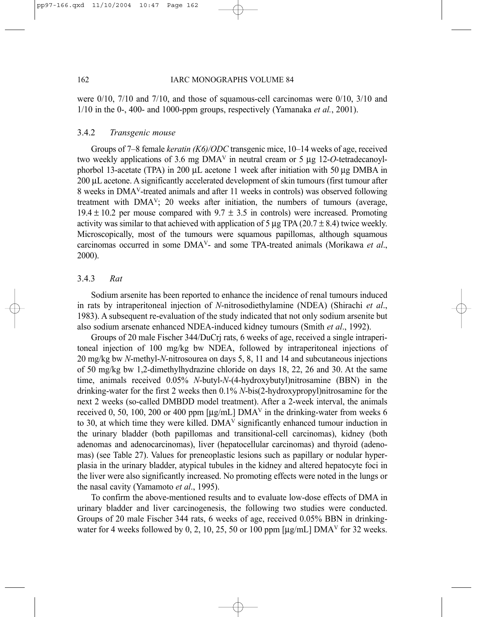were  $0/10$ ,  $7/10$  and  $7/10$ , and those of squamous-cell carcinomas were  $0/10$ ,  $3/10$  and 1/10 in the 0-, 400- and 1000-ppm groups, respectively (Yamanaka *et al.*, 2001).

## 3.4.2 *Transgenic mouse*

Groups of 7–8 female *keratin (K6)/ODC* transgenic mice, 10–14 weeks of age, received two weekly applications of 3.6 mg DMAV in neutral cream or 5 µg 12-*O*-tetradecanoylphorbol 13-acetate (TPA) in 200 µL acetone 1 week after initiation with 50 µg DMBA in 200 µL acetone. A significantly accelerated development of skin tumours (first tumour after 8 weeks in DMAV-treated animals and after 11 weeks in controls) was observed following treatment with DMAV; 20 weeks after initiation, the numbers of tumours (average,  $19.4 \pm 10.2$  per mouse compared with  $9.7 \pm 3.5$  in controls) were increased. Promoting activity was similar to that achieved with application of 5  $\mu$ g TPA (20.7 ± 8.4) twice weekly. Microscopically, most of the tumours were squamous papillomas, although squamous carcinomas occurred in some DMAV- and some TPA-treated animals (Morikawa *et al*., 2000).

#### 3.4.3 *Rat*

Sodium arsenite has been reported to enhance the incidence of renal tumours induced in rats by intraperitoneal injection of *N*-nitrosodiethylamine (NDEA) (Shirachi *et al*., 1983). A subsequent re-evaluation of the study indicated that not only sodium arsenite but also sodium arsenate enhanced NDEA-induced kidney tumours (Smith *et al*., 1992).

Groups of 20 male Fischer 344/DuCrj rats, 6 weeks of age, received a single intraperitoneal injection of 100 mg/kg bw NDEA, followed by intraperitoneal injections of 20 mg/kg bw *N*-methyl-*N*-nitrosourea on days 5, 8, 11 and 14 and subcutaneous injections of 50 mg/kg bw 1,2-dimethylhydrazine chloride on days 18, 22, 26 and 30. At the same time, animals received 0.05% *N*-butyl-*N*-(4-hydroxybutyl)nitrosamine (BBN) in the drinking-water for the first 2 weeks then 0.1% *N*-bis(2-hydroxypropyl)nitrosamine for the next 2 weeks (so-called DMBDD model treatment). After a 2-week interval, the animals received 0, 50, 100, 200 or 400 ppm  $[\mu g/mL]$  DMA<sup>V</sup> in the drinking-water from weeks 6 to 30, at which time they were killed. DMAV significantly enhanced tumour induction in the urinary bladder (both papillomas and transitional-cell carcinomas), kidney (both adenomas and adenocarcinomas), liver (hepatocellular carcinomas) and thyroid (adenomas) (see Table 27). Values for preneoplastic lesions such as papillary or nodular hyperplasia in the urinary bladder, atypical tubules in the kidney and altered hepatocyte foci in the liver were also significantly increased. No promoting effects were noted in the lungs or the nasal cavity (Yamamoto *et al*., 1995).

To confirm the above-mentioned results and to evaluate low-dose effects of DMA in urinary bladder and liver carcinogenesis, the following two studies were conducted. Groups of 20 male Fischer 344 rats, 6 weeks of age, received 0.05% BBN in drinkingwater for 4 weeks followed by 0, 2, 10, 25, 50 or 100 ppm  $[\mu g/mL]$  DMA<sup>V</sup> for 32 weeks.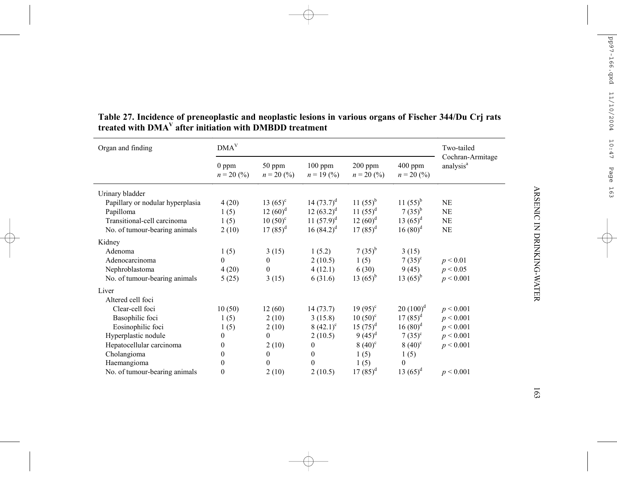| Organ and finding                | $V$                     |                        |                          |                                             |                                             | Two-tailed                                |
|----------------------------------|-------------------------|------------------------|--------------------------|---------------------------------------------|---------------------------------------------|-------------------------------------------|
|                                  | $0$ ppm<br>$n = 20$ (%) | 50 ppm<br>$n = 20$ (%) | $100$ ppm<br>$n = 19(%)$ | $200$ ppm<br>$n = 20\,(^{\circ}\!\!/\circ)$ | $400$ ppm<br>$n = 20\,(^{\circ}\!\!/\circ)$ | Cochran-Armitage<br>analysis <sup>a</sup> |
| Urinary bladder                  |                         |                        |                          |                                             |                                             |                                           |
| Papillary or nodular hyperplasia | 4(20)                   | $13(65)^{c}$           | 14 $(73.7)^d$            | $11(55)^{b}$                                | $11(55)^{b}$                                | NE                                        |
| Papilloma                        | 1(5)                    | $12(60)^d$             | $12(63.2)^d$             | 11 $(55)^d$                                 | $7(35)^{b}$                                 | NE                                        |
| Transitional-cell carcinoma      | 1(5)                    | $10(50)^{c}$           | 11 $(57.9)^d$            | $12(60)^d$                                  | 13 $(65)^d$                                 | NE                                        |
| No. of tumour-bearing animals    | 2(10)                   | $17(85)^d$             | 16 $(84.2)^d$            | $17(85)^d$                                  | $16(80)^d$                                  | NE                                        |
| Kidney                           |                         |                        |                          |                                             |                                             |                                           |
| Adenoma                          | 1(5)                    | 3(15)                  | 1(5.2)                   | $7(35)^{b}$                                 | 3(15)                                       |                                           |
| Adenocarcinoma                   | $\theta$                | $\mathbf{0}$           | 2(10.5)                  | 1(5)                                        | $7(35)^{c}$                                 | p < 0.01                                  |
| Nephroblastoma                   | 4(20)                   | $\overline{0}$         | 4(12.1)                  | 6(30)                                       | 9(45)                                       | p < 0.05                                  |
| No. of tumour-bearing animals    | 5(25)                   | 3(15)                  | 6(31.6)                  | 13 $(65)^{b}$                               | 13 $(65)^{b}$                               | p < 0.001                                 |
| Liver                            |                         |                        |                          |                                             |                                             |                                           |
| Altered cell foci                |                         |                        |                          |                                             |                                             |                                           |
| Clear-cell foci                  | 10(50)                  | 12(60)                 | 14(73.7)                 | $19(95)^{c}$                                | $20(100)^d$                                 | p < 0.001                                 |
| Basophilic foci                  | 1(5)                    | 2(10)                  | 3(15.8)                  | $10(50)^{c}$                                | $17(85)^d$                                  | p < 0.001                                 |
| Eosinophilic foci                | 1(5)                    | 2(10)                  | $(42.1)^c$               | $15(75)^d$                                  | $16(80)^d$                                  | p < 0.001                                 |
| Hyperplastic nodule              | $\theta$                | $\theta$               | 2(10.5)                  | $9(45)^d$                                   | $7(35)^{c}$                                 | p < 0.001                                 |
| Hepatocellular carcinoma         | $\theta$                | 2(10)                  | $\mathbf{0}$             | $8(40)^{c}$                                 | $8(40)^c$                                   | p < 0.001                                 |
| Cholangioma                      | 0                       | $\overline{0}$         | $\mathbf{0}$             | 1(5)                                        | 1(5)                                        |                                           |
| Haemangioma                      | 0                       | $\overline{0}$         | $\theta$                 | 1(5)                                        | $\theta$                                    |                                           |
| No. of tumour-bearing animals    | $\mathbf{0}$            | 2(10)                  | 2(10.5)                  | $17(85)^d$                                  | 13 $(65)^d$                                 | p < 0.001                                 |

# **Table 27. Incidence of preneoplastic and neoplastic lesions in various organs of Fischer 344/Du Crj rats treated with DMA V after initiation with DMBDD treatment**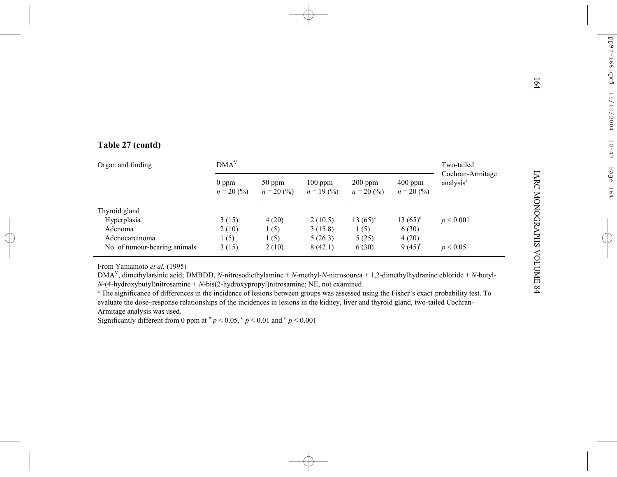|  |  |  | Table 27 (contd) |  |
|--|--|--|------------------|--|
|--|--|--|------------------|--|

| Table 27 (contd)              |                         |                        |                         |                           |                                           |                                           |  |  |
|-------------------------------|-------------------------|------------------------|-------------------------|---------------------------|-------------------------------------------|-------------------------------------------|--|--|
| Organ and finding             | $V$                     |                        |                         |                           |                                           |                                           |  |  |
|                               | $0$ ppm<br>$n = 20$ (%) | 50 ppm<br>$n = 20$ (%) | $100$ ppm<br>$n = 19(%$ | $200$ ppm<br>$n = 20$ (%) | 400 ppm<br>$n = 20\,(^{\circ}\!\!/\circ)$ | Cochran-Armitage<br>analysis <sup>a</sup> |  |  |
| Thyroid gland                 |                         |                        |                         |                           |                                           |                                           |  |  |
| Hyperplasia                   | 3(15)                   | 4(20)                  | 2(10.5)                 | 13 $(65)^c$               | 13 $(65)^c$                               | p < 0.001                                 |  |  |
| Adenoma<br>Adenocarcinoma     | 2(10)<br>1(5)           | 1(5)<br>1(5)           | 3(15.8)<br>5(26.3)      | 1(5)<br>5(25)             | 6(30)<br>4(20)                            |                                           |  |  |
| No. of tumour-bearing animals | 3(15)                   | 2(10)                  | 8(42.1)                 | 6(30)                     | 9 $(45)^{b}$                              | p < 0.05                                  |  |  |

evaluate the dose–response relationships of the incidences in lesions in the kidney, liver and thyroid gland, two-tailed Cochran-Armitage analysis was used.

Significantly different from 0 ppm at  $p < 0.05$ ,  $c_p < 0.01$  and  $d_p < 0.001$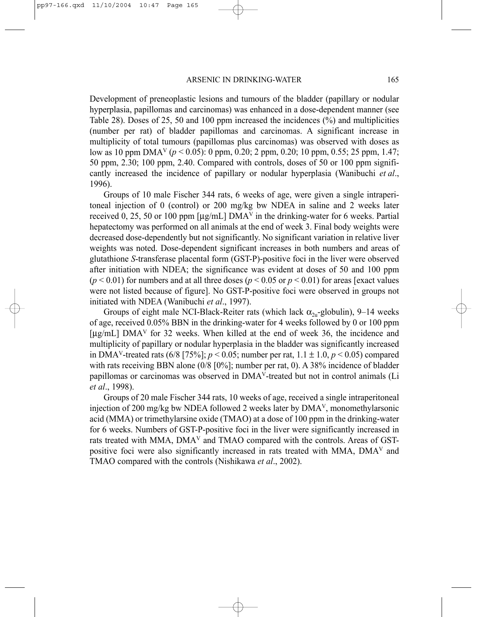Development of preneoplastic lesions and tumours of the bladder (papillary or nodular hyperplasia, papillomas and carcinomas) was enhanced in a dose-dependent manner (see Table 28). Doses of 25, 50 and 100 ppm increased the incidences (%) and multiplicities (number per rat) of bladder papillomas and carcinomas. A significant increase in multiplicity of total tumours (papillomas plus carcinomas) was observed with doses as low as 10 ppm DMAV (*p* < 0.05): 0 ppm, 0.20; 2 ppm, 0.20; 10 ppm, 0.55; 25 ppm, 1.47; 50 ppm, 2.30; 100 ppm, 2.40. Compared with controls, doses of 50 or 100 ppm significantly increased the incidence of papillary or nodular hyperplasia (Wanibuchi *et al*., 1996).

Groups of 10 male Fischer 344 rats, 6 weeks of age, were given a single intraperitoneal injection of 0 (control) or 200 mg/kg bw NDEA in saline and 2 weeks later received 0, 25, 50 or 100 ppm  $[\mu g/mL]$  DMA<sup>V</sup> in the drinking-water for 6 weeks. Partial hepatectomy was performed on all animals at the end of week 3. Final body weights were decreased dose-dependently but not significantly. No significant variation in relative liver weights was noted. Dose-dependent significant increases in both numbers and areas of glutathione *S*-transferase placental form (GST-P)-positive foci in the liver were observed after initiation with NDEA; the significance was evident at doses of 50 and 100 ppm  $(p < 0.01)$  for numbers and at all three doses  $(p < 0.05$  or  $p < 0.01)$  for areas [exact values] were not listed because of figure]. No GST-P-positive foci were observed in groups not initiated with NDEA (Wanibuchi *et al*., 1997).

Groups of eight male NCI-Black-Reiter rats (which lack  $\alpha_{2u}$ -globulin), 9–14 weeks of age, received 0.05% BBN in the drinking-water for 4 weeks followed by 0 or 100 ppm  $[\mu g/mL]$  DMA<sup>V</sup> for 32 weeks. When killed at the end of week 36, the incidence and multiplicity of papillary or nodular hyperplasia in the bladder was significantly increased in DMA<sup>V</sup>-treated rats  $(6/8 \mid 75\%)$ ;  $p < 0.05$ ; number per rat,  $1.1 \pm 1.0$ ,  $p < 0.05$ ) compared with rats receiving BBN alone (0/8 [0%]; number per rat, 0). A 38% incidence of bladder papillomas or carcinomas was observed in DMAV-treated but not in control animals (Li *et al*., 1998).

Groups of 20 male Fischer 344 rats, 10 weeks of age, received a single intraperitoneal injection of 200 mg/kg bw NDEA followed 2 weeks later by DMAV, monomethylarsonic acid (MMA) or trimethylarsine oxide (TMAO) at a dose of 100 ppm in the drinking-water for 6 weeks. Numbers of GST-P-positive foci in the liver were significantly increased in rats treated with MMA, DMAV and TMAO compared with the controls. Areas of GSTpositive foci were also significantly increased in rats treated with MMA, DMAV and TMAO compared with the controls (Nishikawa *et al*., 2002).